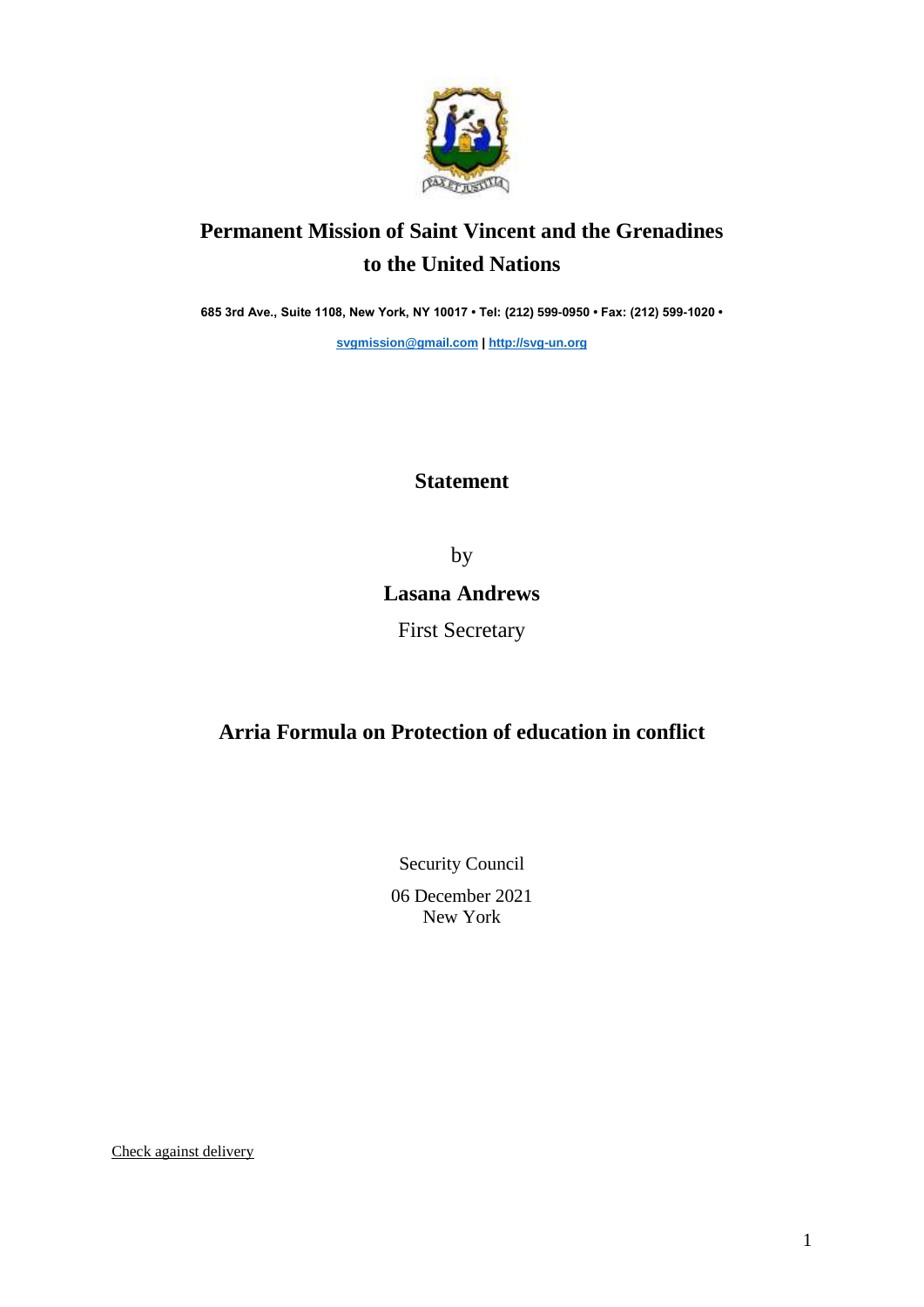

## **Permanent Mission of Saint Vincent and the Grenadines to the United Nations**

**685 3rd Ave., Suite 1108, New York, NY 10017 • Tel: (212) 599-0950 • Fax: (212) 599-1020 •** 

**[svgmission@gmail.com](mailto:svgmission@gmail.com) | [http://svg-un.org](http://svg-un.org/)**

## **Statement**

by

## **Lasana Andrews**

First Secretary

## **Arria Formula on Protection of education in conflict**

Security Council 06 December 2021 New York

Check against delivery